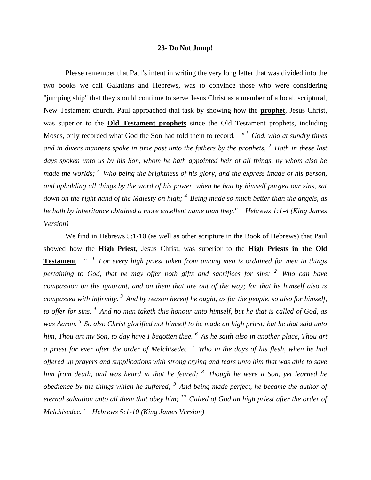## **23- Do Not Jump!**

Please remember that Paul's intent in writing the very long letter that was divided into the two books we call Galatians and Hebrews, was to convince those who were considering "jumping ship" that they should continue to serve Jesus Christ as a member of a local, scriptural, New Testament church. Paul approached that task by showing how the **prophet**, Jesus Christ, was superior to the **Old Testament prophets** since the Old Testament prophets, including Moses, only recorded what God the Son had told them to record. *" <sup>1</sup>God, who at sundry times and in divers manners spake in time past unto the fathers by the prophets, <sup>2</sup>Hath in these last days spoken unto us by his Son, whom he hath appointed heir of all things, by whom also he made the worlds; <sup>3</sup>Who being the brightness of his glory, and the express image of his person, and upholding all things by the word of his power, when he had by himself purged our sins, sat down on the right hand of the Majesty on high; <sup>4</sup>Being made so much better than the angels, as he hath by inheritance obtained a more excellent name than they." Hebrews 1:1-4 (King James Version)* 

We find in Hebrews 5:1-10 (as well as other scripture in the Book of Hebrews) that Paul showed how the **High Priest**, Jesus Christ, was superior to the **High Priests in the Old Testament**. *" <sup>1</sup>For every high priest taken from among men is ordained for men in things pertaining to God, that he may offer both gifts and sacrifices for sins: <sup>2</sup>Who can have compassion on the ignorant, and on them that are out of the way; for that he himself also is compassed with infirmity. <sup>3</sup>And by reason hereof he ought, as for the people, so also for himself, to offer for sins. <sup>4</sup>And no man taketh this honour unto himself, but he that is called of God, as was Aaron. <sup>5</sup>So also Christ glorified not himself to be made an high priest; but he that said unto him, Thou art my Son, to day have I begotten thee. <sup>6</sup>As he saith also in another place, Thou art a priest for ever after the order of Melchisedec. <sup>7</sup>Who in the days of his flesh, when he had offered up prayers and supplications with strong crying and tears unto him that was able to save him from death, and was heard in that he feared; <sup>8</sup>Though he were a Son, yet learned he obedience by the things which he suffered; <sup>9</sup>And being made perfect, he became the author of eternal salvation unto all them that obey him; <sup>10</sup>Called of God an high priest after the order of Melchisedec." Hebrews 5:1-10 (King James Version)*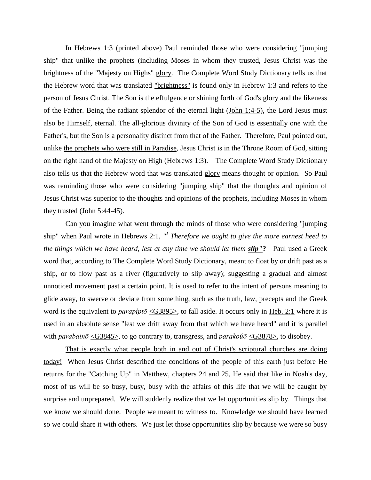In Hebrews 1:3 (printed above) Paul reminded those who were considering "jumping ship" that unlike the prophets (including Moses in whom they trusted, Jesus Christ was the brightness of the "Majesty on Highs" glory. The Complete Word Study Dictionary tells us that the Hebrew word that was translated "brightness" is found only in [Hebrew 1:3](http://www.crossbooks.com/verse.asp?ref=Heb+1%3A3) and refers to the person of Jesus Christ. The Son is the effulgence or shining forth of God's glory and the likeness of the Father. Being the radiant splendor of the eternal light [\(John 1:4-5\)](http://www.crossbooks.com/verse.asp?ref=Jn+1%3A4-5), the Lord Jesus must also be Himself, eternal. The all-glorious divinity of the Son of God is essentially one with the Father's, but the Son is a personality distinct from that of the Father. Therefore, Paul pointed out, unlike the prophets who were still in Paradise, Jesus Christ is in the Throne Room of God, sitting on the right hand of the Majesty on High (Hebrews 1:3). The Complete Word Study Dictionary also tells us that the Hebrew word that was translated glory means thought or opinion. So Paul was reminding those who were considering "jumping ship" that the thoughts and opinion of Jesus Christ was superior to the thoughts and opinions of the prophets, including Moses in whom they trusted (John 5:44-45).

Can you imagine what went through the minds of those who were considering "jumping ship" when Paul wrote in Hebrews 2:1, *" 1 Therefore we ought to give the more earnest heed to the things which we have heard, lest at any time we should let them slip"***?** Paul used a Greek word that, according to The Complete Word Study Dictionary, meant to float by or drift past as a ship, or to flow past as a river (figuratively to slip away); suggesting a gradual and almost unnoticed movement past a certain point. It is used to refer to the intent of persons meaning to glide away, to swerve or deviate from something, such as the truth, law, precepts and the Greek word is the equivalent to *parapíptō* [<G3895>,](http://www.crossbooks.com/book.asp?strongs=G3895) to fall aside. It occurs only in [Heb. 2:1](http://www.crossbooks.com/verse.asp?ref=Heb+2%3A1) where it is used in an absolute sense "lest we drift away from that which we have heard" and it is parallel with *parabainō*  $\leq$ G3845>, to go contrary to, transgress, and *parakoúō*  $\leq$ G3878>, to disobey.

That is exactly what people both in and out of Christ's scriptural churches are doing today! When Jesus Christ described the conditions of the people of this earth just before He returns for the "Catching Up" in Matthew, chapters 24 and 25, He said that like in Noah's day, most of us will be so busy, busy, busy with the affairs of this life that we will be caught by surprise and unprepared. We will suddenly realize that we let opportunities slip by. Things that we know we should done. People we meant to witness to. Knowledge we should have learned so we could share it with others. We just let those opportunities slip by because we were so busy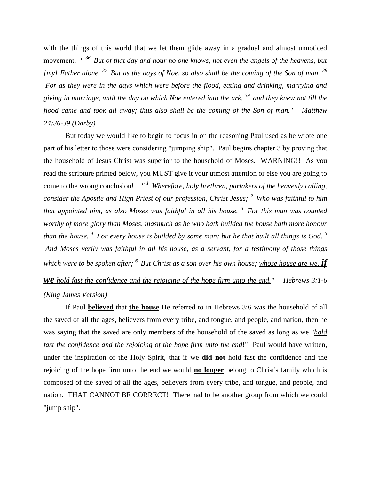with the things of this world that we let them glide away in a gradual and almost unnoticed movement. *" <sup>36</sup>But of that day and hour no one knows, not even the angels of the heavens, but [my] Father alone. <sup>37</sup>But as the days of Noe, so also shall be the coming of the Son of man. <sup>38</sup> For as they were in the days which were before the flood, eating and drinking, marrying and giving in marriage, until the day on which Noe entered into the ark, <sup>39</sup>and they knew not till the flood came and took all away; thus also shall be the coming of the Son of man." Matthew 24:36-39 (Darby)*

But today we would like to begin to focus in on the reasoning Paul used as he wrote one part of his letter to those were considering "jumping ship". Paul begins chapter 3 by proving that the household of Jesus Christ was superior to the household of Moses. WARNING!! As you read the scripture printed below, you MUST give it your utmost attention or else you are going to come to the wrong conclusion! *" <sup>1</sup>Wherefore, holy brethren, partakers of the heavenly calling, consider the Apostle and High Priest of our profession, Christ Jesus; <sup>2</sup>Who was faithful to him that appointed him, as also Moses was faithful in all his house. <sup>3</sup>For this man was counted worthy of more glory than Moses, inasmuch as he who hath builded the house hath more honour than the house. <sup>4</sup>For every house is builded by some man; but he that built all things is God. <sup>5</sup> And Moses verily was faithful in all his house, as a servant, for a testimony of those things which were to be spoken after; <sup>6</sup>But Christ as a son over his own house; whose house are we, if we hold fast the confidence and the rejoicing of the hope firm unto the end." Hebrews 3:1-6* 

## *(King James Version)*

If Paul **believed** that **the house** He referred to in Hebrews 3:6 was the household of all the saved of all the ages, believers from every tribe, and tongue, and people, and nation, then he was saying that the saved are only members of the household of the saved as long as we "*hold fast the confidence and the rejoicing of the hope firm unto the end*!" Paul would have written, under the inspiration of the Holy Spirit, that if we **did not** hold fast the confidence and the rejoicing of the hope firm unto the end we would **no longer** belong to Christ's family which is composed of the saved of all the ages, believers from every tribe, and tongue, and people, and nation. THAT CANNOT BE CORRECT! There had to be another group from which we could "jump ship".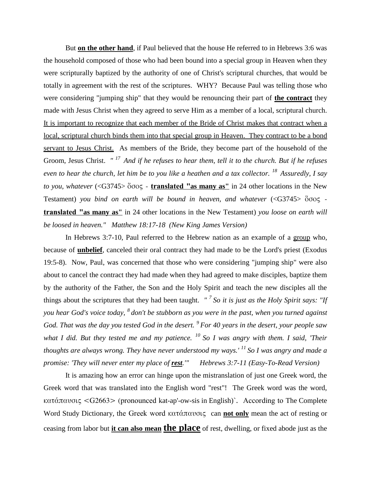But **on the other hand**, if Paul believed that the house He referred to in Hebrews 3:6 was the household composed of those who had been bound into a special group in Heaven when they were scripturally baptized by the authority of one of Christ's scriptural churches, that would be totally in agreement with the rest of the scriptures. WHY? Because Paul was telling those who were considering "jumping ship" that they would be renouncing their part of **the contract** they made with Jesus Christ when they agreed to serve Him as a member of a local, scriptural church. It is important to recognize that each member of the Bride of Christ makes that contract when a local, scriptural church binds them into that special group in Heaven. They contract to be a bond servant to Jesus Christ. As members of the Bride, they become part of the household of the Groom, Jesus Christ. *" <sup>17</sup>And if he refuses to hear them, tell it to the church. But if he refuses even to hear the church, let him be to you like a heathen and a tax collector. <sup>18</sup>Assuredly, I say to you, whatever* (<G3745> ὅσος - **translated "as many as"** in 24 other locations in the New Testament) *you bind on earth will be bound in heaven, and whatever* (<G3745> ὅσος **translated "as many as"** in 24 other locations in the New Testament) *you loose on earth will be loosed in heaven." Matthew 18:17-18 (New King James Version)*

In Hebrews 3:7-10, Paul referred to the Hebrew nation as an example of a group who, because of **unbelief**, canceled their oral contract they had made to be the Lord's priest (Exodus 19:5-8). Now, Paul, was concerned that those who were considering "jumping ship" were also about to cancel the contract they had made when they had agreed to make disciples, baptize them by the authority of the Father, the Son and the Holy Spirit and teach the new disciples all the things about the scriptures that they had been taught. *" <sup>7</sup>So it is just as the Holy Spirit says: "If you hear God's voice today, <sup>8</sup>don't be stubborn as you were in the past, when you turned against God. That was the day you tested God in the desert. <sup>9</sup>For 40 years in the desert, your people saw what I did. But they tested me and my patience. <sup>10</sup>So I was angry with them. I said, 'Their thoughts are always wrong. They have never understood my ways.' <sup>11</sup>So I was angry and made a promise: 'They will never enter my place of rest.'" Hebrews 3:7-11 (Easy-To-Read Version)*

It is amazing how an error can hinge upon the mistranslation of just one Greek word, the Greek word that was translated into the English word "rest"! The Greek word was the word, κατάπαυσις <G2663> (pronounced kat-ap'-ow-sis in English)`. According to The Complete Word Study Dictionary, the Greek word κατάπαυσις can **not only** mean the act of resting or ceasing from labor but **it can also mean the place** of rest, dwelling, or fixed abode just as the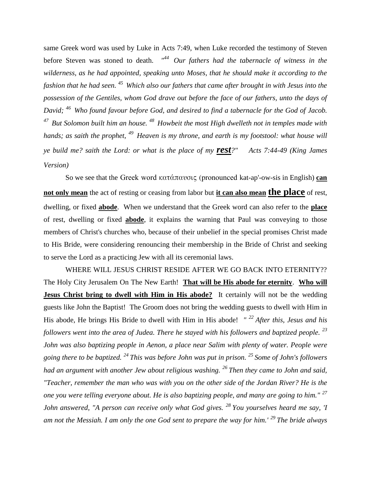same Greek word was used by Luke in Acts 7:49, when Luke recorded the testimony of Steven before Steven was stoned to death. *" <sup>44</sup>Our fathers had the tabernacle of witness in the wilderness, as he had appointed, speaking unto Moses, that he should make it according to the fashion that he had seen. <sup>45</sup>Which also our fathers that came after brought in with Jesus into the possession of the Gentiles, whom God drave out before the face of our fathers, unto the days of David; <sup>46</sup>Who found favour before God, and desired to find a tabernacle for the God of Jacob. <sup>47</sup>But Solomon built him an house. <sup>48</sup>Howbeit the most High dwelleth not in temples made with hands; as saith the prophet, <sup>49</sup>Heaven is my throne, and earth is my footstool: what house will ye build me? saith the Lord: or what is the place of my rest?" Acts 7:44-49 (King James Version)*

So we see that the Greek word κατάπαυσις (pronounced kat-ap'-ow-sis in English) **can not only mean** the act of resting or ceasing from labor but **it can also mean the place** of rest, dwelling, or fixed **abode**. When we understand that the Greek word can also refer to the **place** of rest, dwelling or fixed **abode**, it explains the warning that Paul was conveying to those members of Christ's churches who, because of their unbelief in the special promises Christ made to His Bride, were considering renouncing their membership in the Bride of Christ and seeking to serve the Lord as a practicing Jew with all its ceremonial laws.

WHERE WILL JESUS CHRIST RESIDE AFTER WE GO BACK INTO ETERNITY?? The Holy City Jerusalem On The New Earth! **That will be His abode for eternity**. **Who will Jesus Christ bring to dwell with Him in His abode?** It certainly will not be the wedding guests like John the Baptist! The Groom does not bring the wedding guests to dwell with Him in His abode, He brings His Bride to dwell with Him in His abode! *" <sup>22</sup>After this, Jesus and his followers went into the area of Judea. There he stayed with his followers and baptized people. <sup>23</sup> John was also baptizing people in Aenon, a place near Salim with plenty of water. People were going there to be baptized. <sup>24</sup>This was before John was put in prison. <sup>25</sup>Some of John's followers had an argument with another Jew about religious washing. <sup>26</sup>Then they came to John and said, "Teacher, remember the man who was with you on the other side of the Jordan River? He is the one you were telling everyone about. He is also baptizing people, and many are going to him." <sup>27</sup> John answered, "A person can receive only what God gives. <sup>28</sup>You yourselves heard me say, 'I am not the Messiah. I am only the one God sent to prepare the way for him.' <sup>29</sup>The bride always*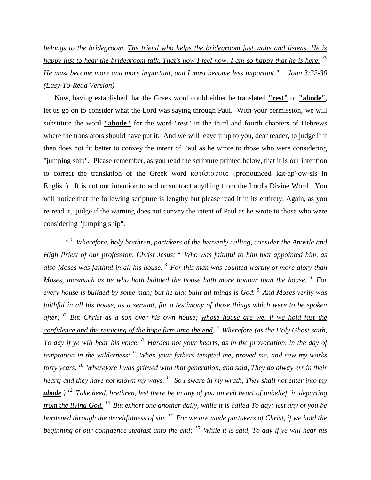*belongs to the bridegroom. The friend who helps the bridegroom just waits and listens. He is happy just to hear the bridegroom talk. That's how I feel now. I am so happy that he is here. <sup>30</sup> He must become more and more important, and I must become less important." John 3:22-30 (Easy-To-Read Version)*

 Now, having established that the Greek word could either be translated **"rest"** or **"abode"**, let us go on to consider what the Lord was saying through Paul. With your permission, we will substitute the word **"abode"** for the word "rest" in the third and fourth chapters of Hebrews where the translators should have put it. And we will leave it up to you, dear reader, to judge if it then does not fit better to convey the intent of Paul as he wrote to those who were considering "jumping ship". Please remember, as you read the scripture printed below, that it is our intention to correct the translation of the Greek word κατάπαυσις (pronounced kat-ap'-ow-sis in English). It is not our intention to add or subtract anything from the Lord's Divine Word. You will notice that the following scripture is lengthy but please read it in its entirety. Again, as you re-read it, judge if the warning does not convey the intent of Paul as he wrote to those who were considering "jumping ship".

*" <sup>1</sup>Wherefore, holy brethren, partakers of the heavenly calling, consider the Apostle and High Priest of our profession, Christ Jesus; <sup>2</sup>Who was faithful to him that appointed him, as also Moses was faithful in all his house. <sup>3</sup>For this man was counted worthy of more glory than Moses, inasmuch as he who hath builded the house hath more honour than the house. <sup>4</sup>For every house is builded by some man; but he that built all things is God. <sup>5</sup>And Moses verily was faithful in all his house, as a servant, for a testimony of those things which were to be spoken after; <sup>6</sup>But Christ as a son over his own house; whose house are we, if we hold fast the confidence and the rejoicing of the hope firm unto the end. <sup>7</sup>Wherefore (as the Holy Ghost saith, To day if ye will hear his voice, <sup>8</sup>Harden not your hearts, as in the provocation, in the day of temptation in the wilderness: <sup>9</sup>When your fathers tempted me, proved me, and saw my works forty years. <sup>10</sup>Wherefore I was grieved with that generation, and said, They do alway err in their heart; and they have not known my ways. <sup>11</sup>So I sware in my wrath, They shall not enter into my abode.) <sup>12</sup>Take heed, brethren, lest there be in any of you an evil heart of unbelief, in departing from the living God. <sup>13</sup>But exhort one another daily, while it is called To day; lest any of you be hardened through the deceitfulness of sin. <sup>14</sup>For we are made partakers of Christ, if we hold the beginning of our confidence stedfast unto the end; <sup>15</sup>While it is said, To day if ye will hear his*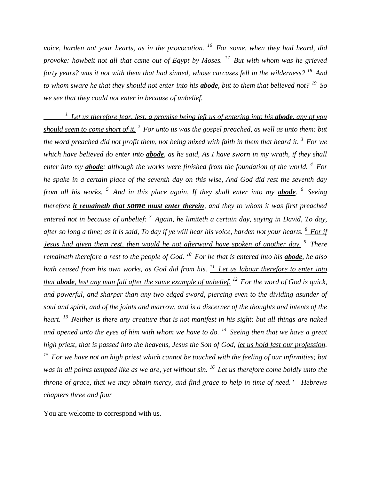*voice, harden not your hearts, as in the provocation. <sup>16</sup>For some, when they had heard, did provoke: howbeit not all that came out of Egypt by Moses. <sup>17</sup>But with whom was he grieved forty years? was it not with them that had sinned, whose carcases fell in the wilderness? <sup>18</sup>And to whom sware he that they should not enter into his abode, but to them that believed not? <sup>19</sup>So we see that they could not enter in because of unbelief.* 

*<sup>1</sup>Let us therefore fear, lest, a promise being left us of entering into his abode, any of you should seem to come short of it. <sup>2</sup>For unto us was the gospel preached, as well as unto them: but the word preached did not profit them, not being mixed with faith in them that heard it. <sup>3</sup>For we which have believed do enter into abode, as he said, As I have sworn in my wrath, if they shall enter into my abode: although the works were finished from the foundation of the world. <sup>4</sup>For he spake in a certain place of the seventh day on this wise, And God did rest the seventh day from all his works. <sup>5</sup>And in this place again, If they shall enter into my abode. <sup>6</sup>Seeing therefore it remaineth that some must enter therein, and they to whom it was first preached entered not in because of unbelief: <sup>7</sup>Again, he limiteth a certain day, saying in David, To day, after so long a time; as it is said, To day if ye will hear his voice, harden not your hearts. <sup>8</sup>For if Jesus had given them rest, then would he not afterward have spoken of another day. <sup>9</sup>There remaineth therefore a rest to the people of God. <sup>10</sup>For he that is entered into his abode, he also hath ceased from his own works, as God did from his. <sup>11</sup>Let us labour therefore to enter into that abode, lest any man fall after the same example of unbelief. <sup>12</sup>For the word of God is quick, and powerful, and sharper than any two edged sword, piercing even to the dividing asunder of soul and spirit, and of the joints and marrow, and is a discerner of the thoughts and intents of the heart. <sup>13</sup>Neither is there any creature that is not manifest in his sight: but all things are naked and opened unto the eyes of him with whom we have to do. <sup>14</sup>Seeing then that we have a great high priest, that is passed into the heavens, Jesus the Son of God, let us hold fast our profession. <sup>15</sup>For we have not an high priest which cannot be touched with the feeling of our infirmities; but was in all points tempted like as we are, yet without sin. <sup>16</sup>Let us therefore come boldly unto the throne of grace, that we may obtain mercy, and find grace to help in time of need." Hebrews chapters three and four*

You are welcome to correspond with us.